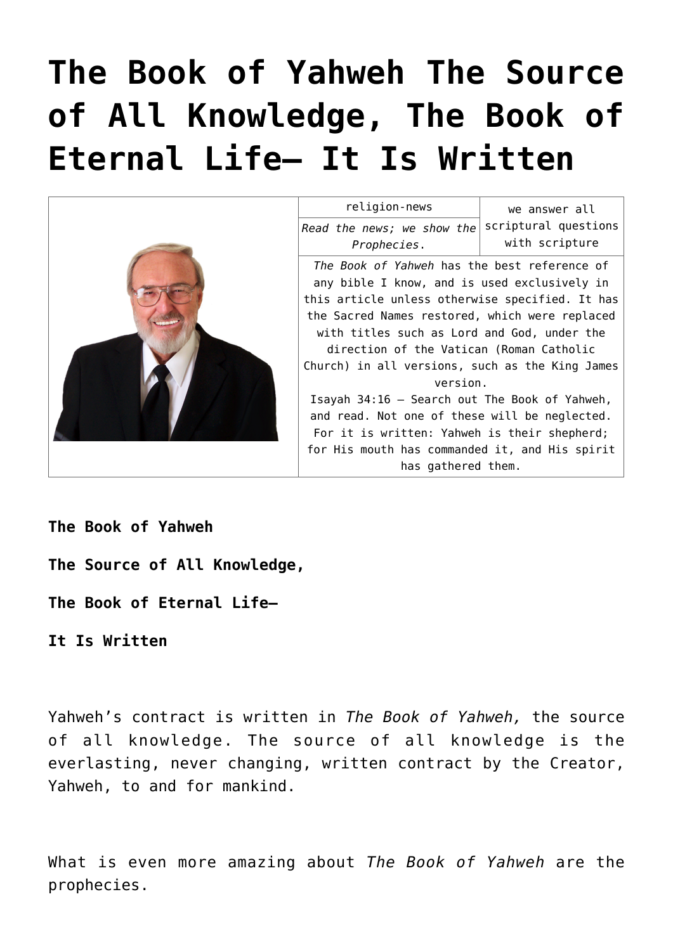# **[The Book of Yahweh The Source](https://yahwehsbranch.com/the-book-of-yahweh-the-source-of-all-knowledge-the-book-of-eternal-life-it-is-written/) [of All Knowledge, The Book of](https://yahwehsbranch.com/the-book-of-yahweh-the-source-of-all-knowledge-the-book-of-eternal-life-it-is-written/) [Eternal Life— It Is Written](https://yahwehsbranch.com/the-book-of-yahweh-the-source-of-all-knowledge-the-book-of-eternal-life-it-is-written/)**



**The Book of Yahweh**

- **The Source of All Knowledge,**
- **The Book of Eternal Life—**

**It Is Written**

Yahweh's contract is written in *The Book of Yahweh,* the source of all knowledge. The source of all knowledge is the everlasting, never changing, written contract by the Creator, Yahweh, to and for mankind.

What is even more amazing about *The Book of Yahweh* are the prophecies.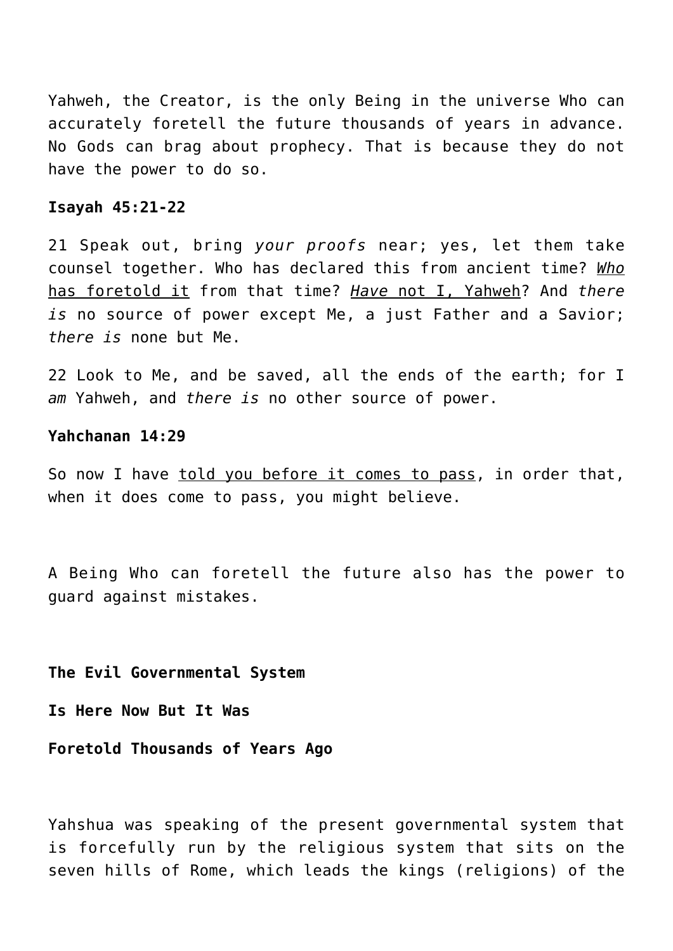Yahweh, the Creator, is the only Being in the universe Who can accurately foretell the future thousands of years in advance. No Gods can brag about prophecy. That is because they do not have the power to do so.

# **Isayah 45:21-22**

21 Speak out, bring *your proofs* near; yes, let them take counsel together. Who has declared this from ancient time? *Who* has foretold it from that time? *Have* not I, Yahweh? And *there is* no source of power except Me, a just Father and a Savior; *there is* none but Me.

22 Look to Me, and be saved, all the ends of the earth; for I *am* Yahweh, and *there is* no other source of power.

## **Yahchanan 14:29**

So now I have told you before it comes to pass, in order that, when it does come to pass, you might believe.

A Being Who can foretell the future also has the power to guard against mistakes.

**The Evil Governmental System**

**Is Here Now But It Was**

**Foretold Thousands of Years Ago**

Yahshua was speaking of the present governmental system that is forcefully run by the religious system that sits on the seven hills of Rome, which leads the kings (religions) of the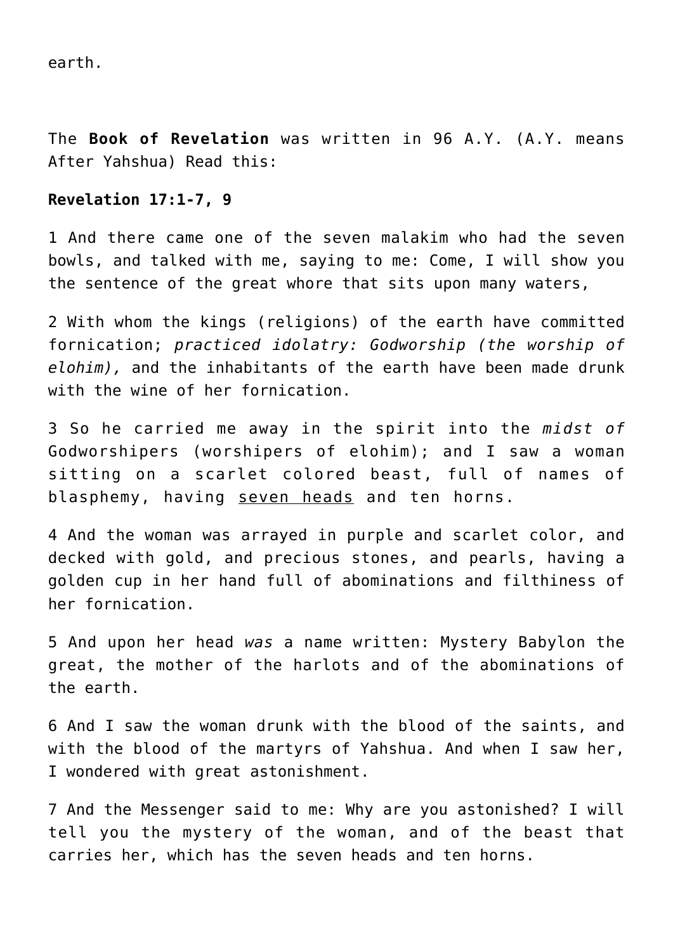earth.

The **Book of Revelation** was written in 96 A.Y. (A.Y. means After Yahshua) Read this:

# **Revelation 17:1-7, 9**

1 And there came one of the seven malakim who had the seven bowls, and talked with me, saying to me: Come, I will show you the sentence of the great whore that sits upon many waters,

2 With whom the kings (religions) of the earth have committed fornication; *practiced idolatry: Godworship (the worship of elohim),* and the inhabitants of the earth have been made drunk with the wine of her fornication.

3 So he carried me away in the spirit into the *midst of* Godworshipers (worshipers of elohim); and I saw a woman sitting on a scarlet colored beast, full of names of blasphemy, having seven heads and ten horns.

4 And the woman was arrayed in purple and scarlet color, and decked with gold, and precious stones, and pearls, having a golden cup in her hand full of abominations and filthiness of her fornication.

5 And upon her head *was* a name written: Mystery Babylon the great, the mother of the harlots and of the abominations of the earth.

6 And I saw the woman drunk with the blood of the saints, and with the blood of the martyrs of Yahshua. And when I saw her, I wondered with great astonishment.

7 And the Messenger said to me: Why are you astonished? I will tell you the mystery of the woman, and of the beast that carries her, which has the seven heads and ten horns.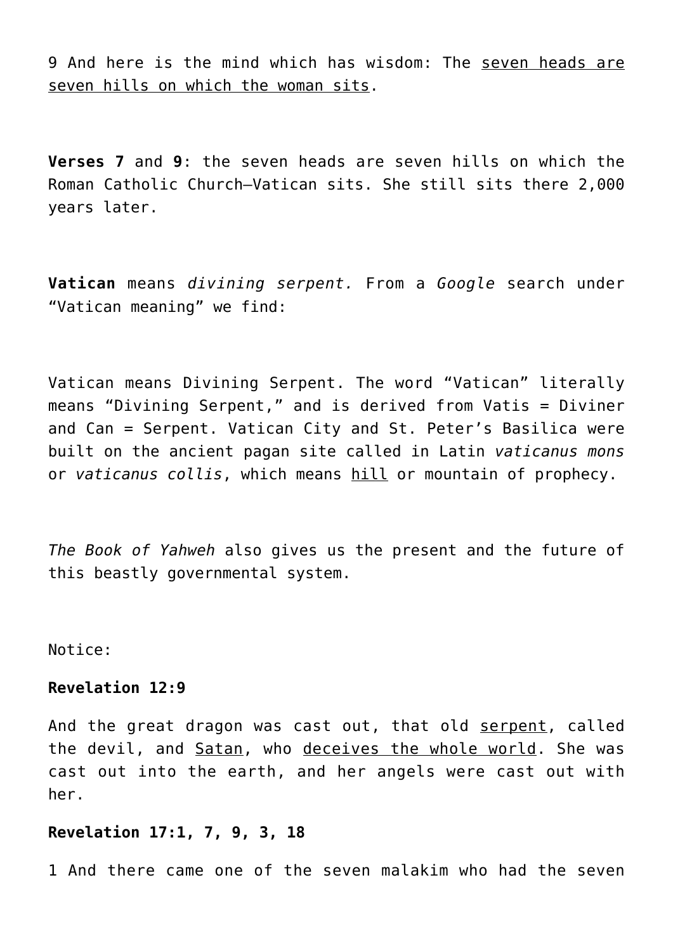9 And here is the mind which has wisdom: The seven heads are seven hills on which the woman sits.

**Verses 7** and **9**: the seven heads are seven hills on which the Roman Catholic Church—Vatican sits. She still sits there 2,000 years later.

**Vatican** means *divining serpent.* From a *Google* search under "Vatican meaning" we find:

Vatican means Divining Serpent. The word "Vatican" literally means "Divining Serpent," and is derived from Vatis = Diviner and Can = Serpent. Vatican City and St. Peter's Basilica were built on the ancient pagan site called in Latin *vaticanus mons* or *vaticanus collis*, which means hill or mountain of prophecy.

*The Book of Yahweh* also gives us the present and the future of this beastly governmental system.

Notice:

# **Revelation 12:9**

And the great dragon was cast out, that old serpent, called the devil, and Satan, who deceives the whole world. She was cast out into the earth, and her angels were cast out with her.

# **Revelation 17:1, 7, 9, 3, 18**

1 And there came one of the seven malakim who had the seven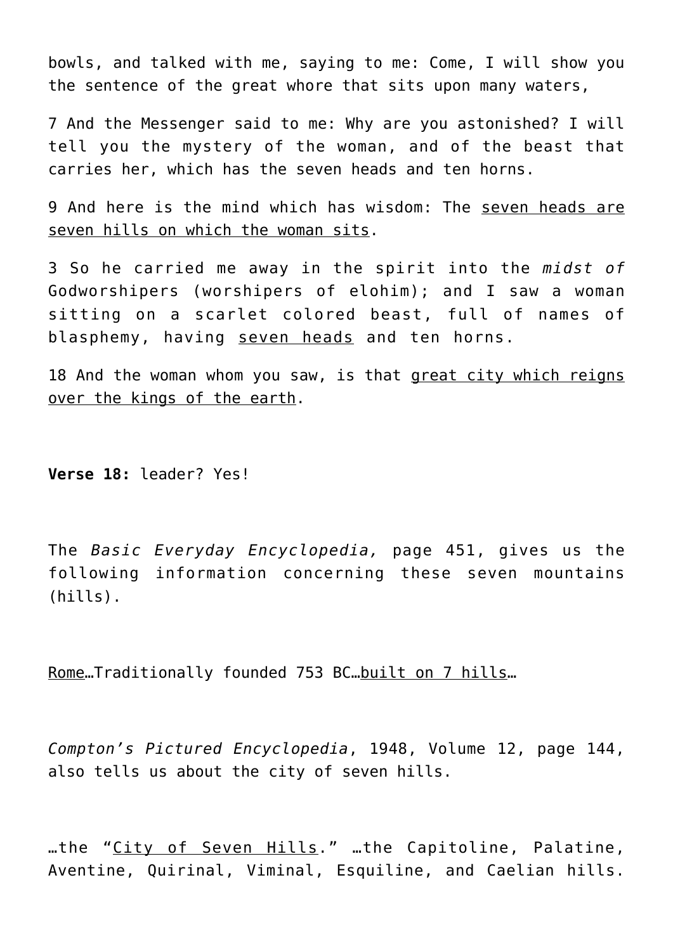bowls, and talked with me, saying to me: Come, I will show you the sentence of the great whore that sits upon many waters,

7 And the Messenger said to me: Why are you astonished? I will tell you the mystery of the woman, and of the beast that carries her, which has the seven heads and ten horns.

9 And here is the mind which has wisdom: The seven heads are seven hills on which the woman sits.

3 So he carried me away in the spirit into the *midst of* Godworshipers (worshipers of elohim); and I saw a woman sitting on a scarlet colored beast, full of names of blasphemy, having seven heads and ten horns.

18 And the woman whom you saw, is that great city which reigns over the kings of the earth.

**Verse 18:** leader? Yes!

The *Basic Everyday Encyclopedia,* page 451, gives us the following information concerning these seven mountains (hills).

Rome…Traditionally founded 753 BC…built on 7 hills…

*Compton's Pictured Encyclopedia*, 1948, Volume 12, page 144, also tells us about the city of seven hills.

…the "City of Seven Hills." …the Capitoline, Palatine, Aventine, Quirinal, Viminal, Esquiline, and Caelian hills.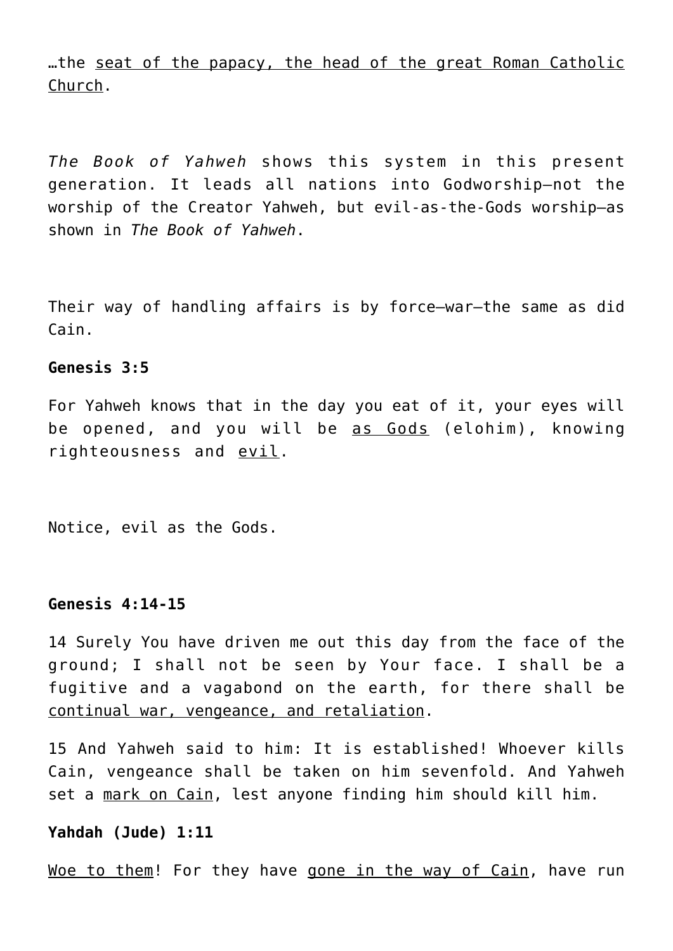…the seat of the papacy, the head of the great Roman Catholic Church.

*The Book of Yahweh* shows this system in this present generation. It leads all nations into Godworship—not the worship of the Creator Yahweh, but evil-as-the-Gods worship—as shown in *The Book of Yahweh*.

Their way of handling affairs is by force—war—the same as did Cain.

# **Genesis 3:5**

For Yahweh knows that in the day you eat of it, your eyes will be opened, and you will be as Gods (elohim), knowing righteousness and evil.

Notice, evil as the Gods.

#### **Genesis 4:14-15**

14 Surely You have driven me out this day from the face of the ground; I shall not be seen by Your face. I shall be a fugitive and a vagabond on the earth, for there shall be continual war, vengeance, and retaliation.

15 And Yahweh said to him: It is established! Whoever kills Cain, vengeance shall be taken on him sevenfold. And Yahweh set a mark on Cain, lest anyone finding him should kill him.

#### **Yahdah (Jude) 1:11**

Woe to them! For they have gone in the way of Cain, have run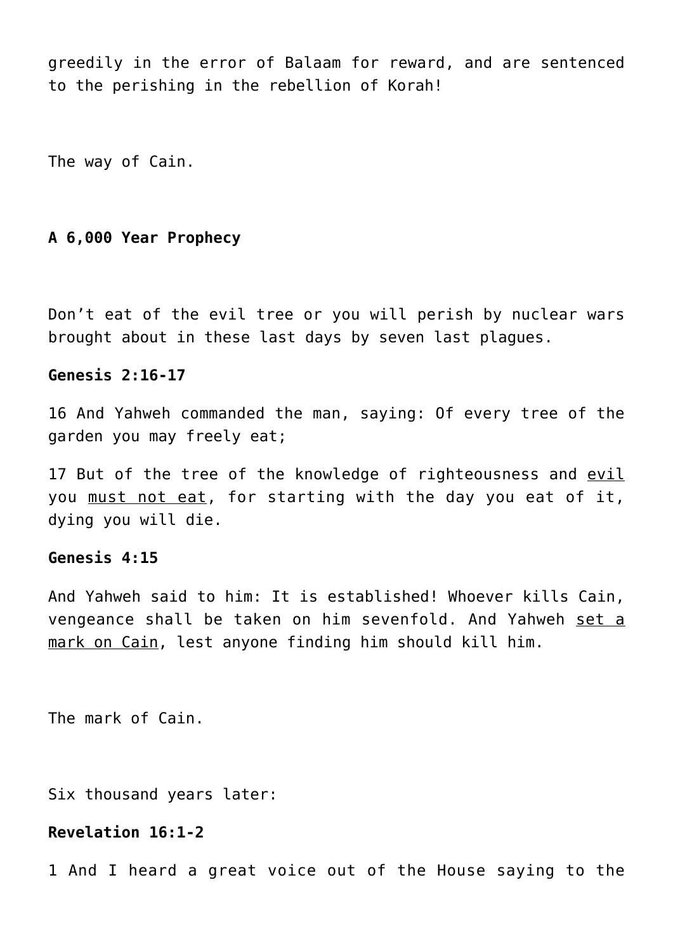greedily in the error of Balaam for reward, and are sentenced to the perishing in the rebellion of Korah!

The way of Cain.

# **A 6,000 Year Prophecy**

Don't eat of the evil tree or you will perish by nuclear wars brought about in these last days by seven last plagues.

# **Genesis 2:16-17**

16 And Yahweh commanded the man, saying: Of every tree of the garden you may freely eat;

17 But of the tree of the knowledge of righteousness and evil you must not eat, for starting with the day you eat of it, dying you will die.

# **Genesis 4:15**

And Yahweh said to him: It is established! Whoever kills Cain, vengeance shall be taken on him sevenfold. And Yahweh set a mark on Cain, lest anyone finding him should kill him.

The mark of Cain.

Six thousand years later:

# **Revelation 16:1-2**

1 And I heard a great voice out of the House saying to the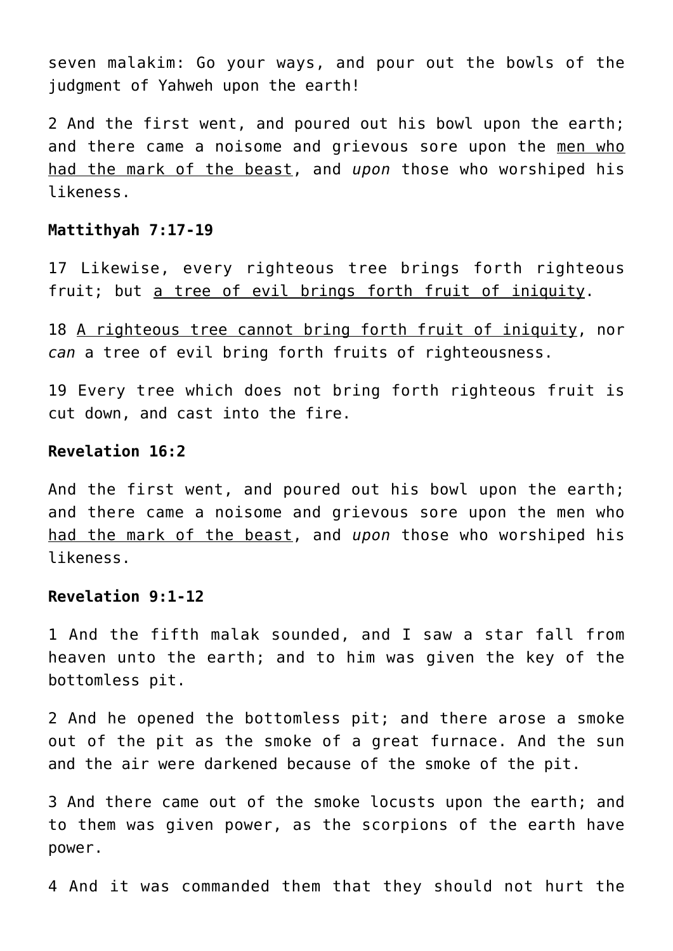seven malakim: Go your ways, and pour out the bowls of the judgment of Yahweh upon the earth!

2 And the first went, and poured out his bowl upon the earth; and there came a noisome and grievous sore upon the men who had the mark of the beast, and *upon* those who worshiped his likeness.

# **Mattithyah 7:17-19**

17 Likewise, every righteous tree brings forth righteous fruit; but a tree of evil brings forth fruit of iniquity.

18 A righteous tree cannot bring forth fruit of iniquity, nor *can* a tree of evil bring forth fruits of righteousness.

19 Every tree which does not bring forth righteous fruit is cut down, and cast into the fire.

#### **Revelation 16:2**

And the first went, and poured out his bowl upon the earth; and there came a noisome and grievous sore upon the men who had the mark of the beast, and *upon* those who worshiped his likeness.

# **Revelation 9:1-12**

1 And the fifth malak sounded, and I saw a star fall from heaven unto the earth; and to him was given the key of the bottomless pit.

2 And he opened the bottomless pit; and there arose a smoke out of the pit as the smoke of a great furnace. And the sun and the air were darkened because of the smoke of the pit.

3 And there came out of the smoke locusts upon the earth; and to them was given power, as the scorpions of the earth have power.

4 And it was commanded them that they should not hurt the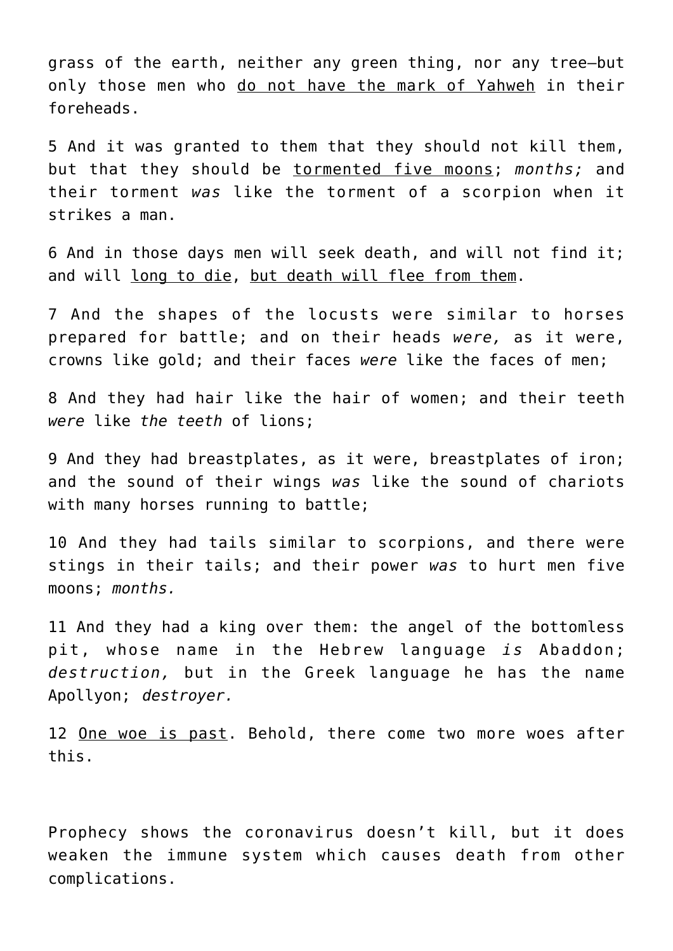grass of the earth, neither any green thing, nor any tree—but only those men who do not have the mark of Yahweh in their foreheads.

5 And it was granted to them that they should not kill them, but that they should be tormented five moons; *months;* and their torment *was* like the torment of a scorpion when it strikes a man.

6 And in those days men will seek death, and will not find it; and will long to die, but death will flee from them.

7 And the shapes of the locusts were similar to horses prepared for battle; and on their heads *were,* as it were, crowns like gold; and their faces *were* like the faces of men;

8 And they had hair like the hair of women; and their teeth *were* like *the teeth* of lions;

9 And they had breastplates, as it were, breastplates of iron; and the sound of their wings *was* like the sound of chariots with many horses running to battle;

10 And they had tails similar to scorpions, and there were stings in their tails; and their power *was* to hurt men five moons; *months.*

11 And they had a king over them: the angel of the bottomless pit, whose name in the Hebrew language *is* Abaddon; *destruction,* but in the Greek language he has the name Apollyon; *destroyer.*

12 One woe is past. Behold, there come two more woes after this.

Prophecy shows the coronavirus doesn't kill, but it does weaken the immune system which causes death from other complications.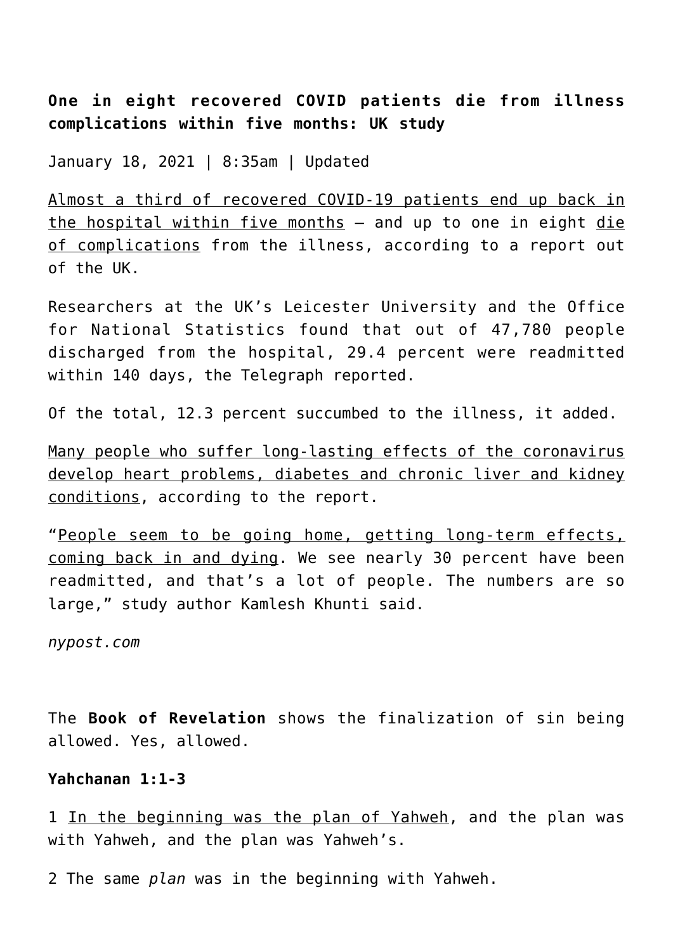**One in eight recovered COVID patients die from illness complications within five months: UK study**

January 18, 2021 | 8:35am | Updated

Almost a third of recovered COVID-19 patients end up back in the hospital within five months - and up to one in eight die of complications from the illness, according to a report out of the UK.

Researchers at the UK's Leicester University and the Office for National Statistics found that out of 47,780 people discharged from the hospital, 29.4 percent were readmitted within 140 days, the Telegraph reported.

Of the total, 12.3 percent succumbed to the illness, it added.

Many people who suffer long-lasting effects of the coronavirus develop heart problems, diabetes and chronic liver and kidney conditions, according to the report.

"People seem to be going home, getting long-term effects, coming back in and dying. We see nearly 30 percent have been readmitted, and that's a lot of people. The numbers are so large," study author Kamlesh Khunti said.

*nypost.com*

The **Book of Revelation** shows the finalization of sin being allowed. Yes, allowed.

# **Yahchanan 1:1-3**

1 In the beginning was the plan of Yahweh, and the plan was with Yahweh, and the plan was Yahweh's.

2 The same *plan* was in the beginning with Yahweh.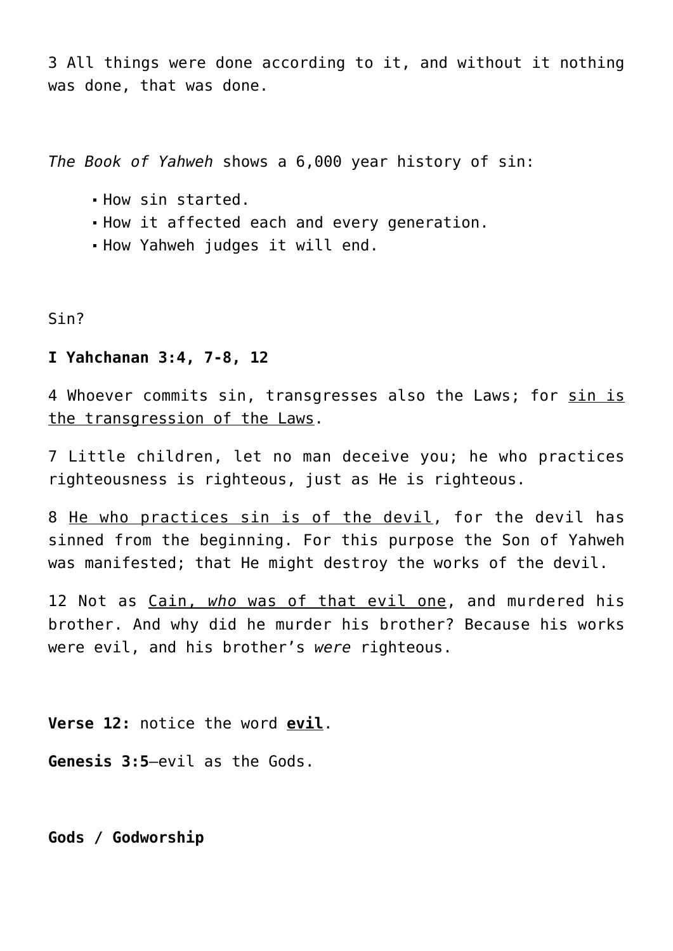3 All things were done according to it, and without it nothing was done, that was done.

*The Book of Yahweh* shows a 6,000 year history of sin:

- How sin started.
- How it affected each and every generation.
- How Yahweh judges it will end.

Sin?

# **I Yahchanan 3:4, 7-8, 12**

4 Whoever commits sin, transgresses also the Laws; for sin is the transgression of the Laws.

7 Little children, let no man deceive you; he who practices righteousness is righteous, just as He is righteous.

8 He who practices sin is of the devil, for the devil has sinned from the beginning. For this purpose the Son of Yahweh was manifested; that He might destroy the works of the devil.

12 Not as Cain, *who* was of that evil one, and murdered his brother. And why did he murder his brother? Because his works were evil, and his brother's *were* righteous.

**Verse 12:** notice the word **evil**.

**Genesis 3:5**—evil as the Gods.

**Gods / Godworship**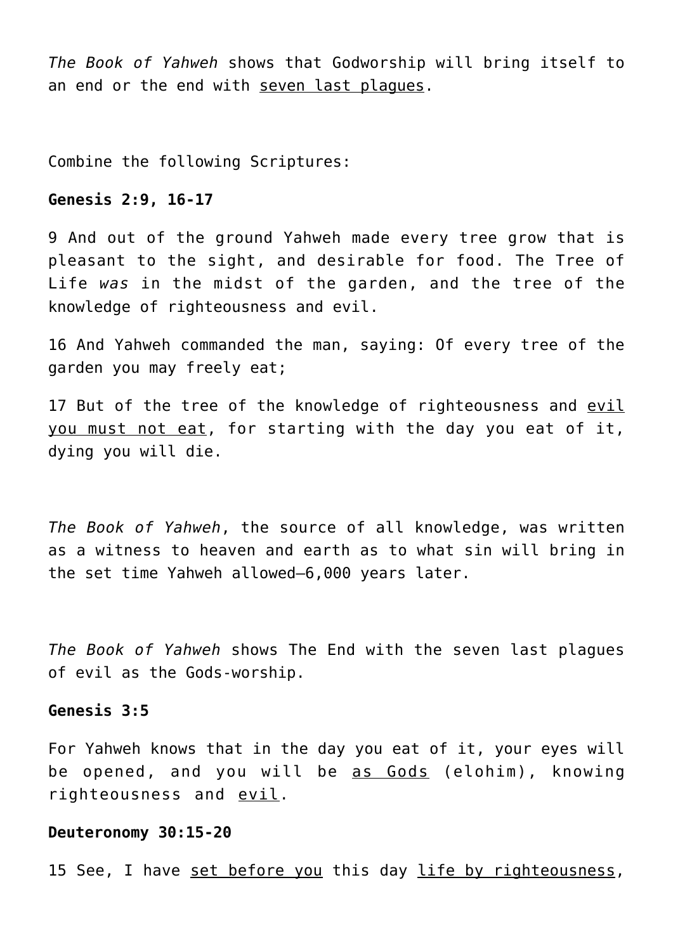*The Book of Yahweh* shows that Godworship will bring itself to an end or the end with seven last plagues.

Combine the following Scriptures:

# **Genesis 2:9, 16-17**

9 And out of the ground Yahweh made every tree grow that is pleasant to the sight, and desirable for food. The Tree of Life *was* in the midst of the garden, and the tree of the knowledge of righteousness and evil.

16 And Yahweh commanded the man, saying: Of every tree of the garden you may freely eat;

17 But of the tree of the knowledge of righteousness and evil you must not eat, for starting with the day you eat of it, dying you will die.

*The Book of Yahweh*, the source of all knowledge, was written as a witness to heaven and earth as to what sin will bring in the set time Yahweh allowed—6,000 years later.

*The Book of Yahweh* shows The End with the seven last plagues of evil as the Gods-worship.

#### **Genesis 3:5**

For Yahweh knows that in the day you eat of it, your eyes will be opened, and you will be as Gods (elohim), knowing righteousness and evil.

#### **Deuteronomy 30:15-20**

15 See, I have set before you this day life by righteousness,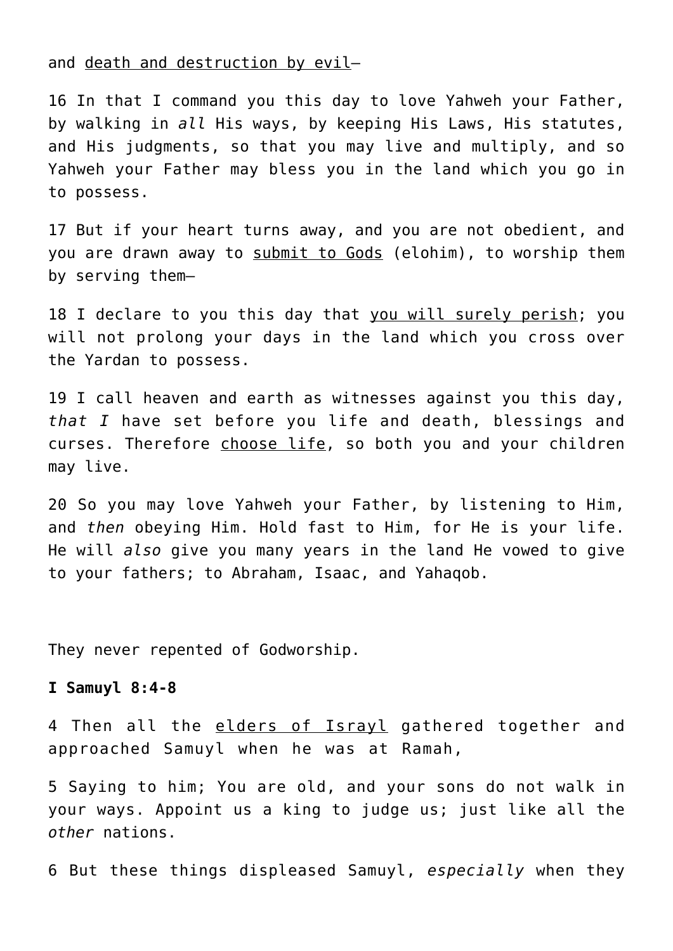and death and destruction by evil—

16 In that I command you this day to love Yahweh your Father, by walking in *all* His ways, by keeping His Laws, His statutes, and His judgments, so that you may live and multiply, and so Yahweh your Father may bless you in the land which you go in to possess.

17 But if your heart turns away, and you are not obedient, and you are drawn away to submit to Gods (elohim), to worship them by serving them—

18 I declare to you this day that you will surely perish; you will not prolong your days in the land which you cross over the Yardan to possess.

19 I call heaven and earth as witnesses against you this day, *that I* have set before you life and death, blessings and curses. Therefore choose life, so both you and your children may live.

20 So you may love Yahweh your Father, by listening to Him, and *then* obeying Him. Hold fast to Him, for He is your life. He will *also* give you many years in the land He vowed to give to your fathers; to Abraham, Isaac, and Yahaqob.

They never repented of Godworship.

## **I Samuyl 8:4-8**

4 Then all the elders of Israyl gathered together and approached Samuyl when he was at Ramah,

5 Saying to him; You are old, and your sons do not walk in your ways. Appoint us a king to judge us; just like all the *other* nations.

6 But these things displeased Samuyl, *especially* when they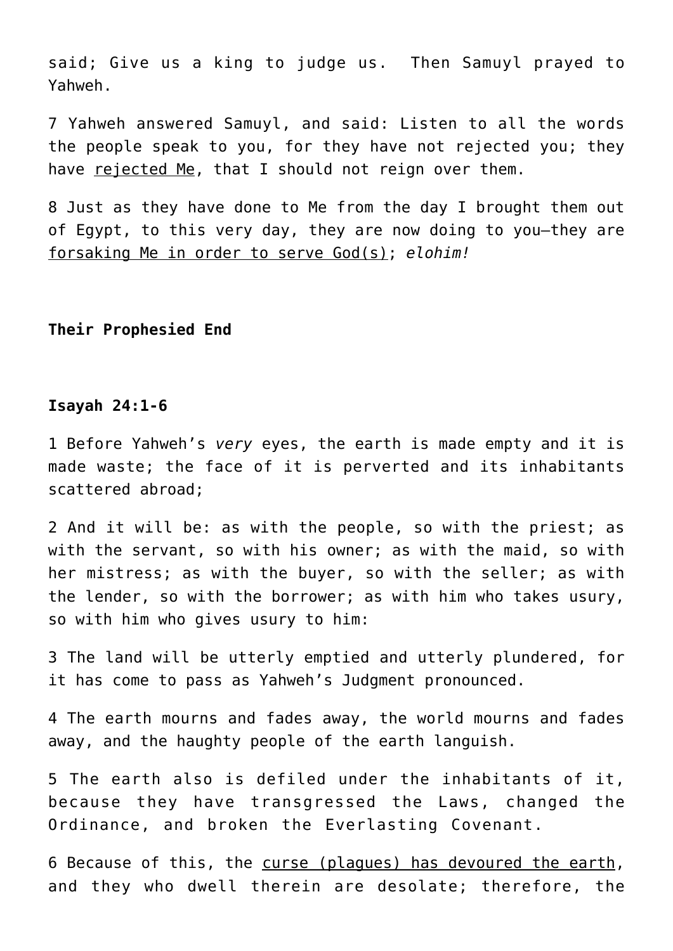said; Give us a king to judge us. Then Samuyl prayed to Yahweh.

7 Yahweh answered Samuyl, and said: Listen to all the words the people speak to you, for they have not rejected you; they have rejected Me, that I should not reign over them.

8 Just as they have done to Me from the day I brought them out of Egypt, to this very day, they are now doing to you—they are forsaking Me in order to serve God(s); *elohim!*

#### **Their Prophesied End**

# **Isayah 24:1-6**

1 Before Yahweh's *very* eyes, the earth is made empty and it is made waste; the face of it is perverted and its inhabitants scattered abroad;

2 And it will be: as with the people, so with the priest; as with the servant, so with his owner; as with the maid, so with her mistress; as with the buyer, so with the seller; as with the lender, so with the borrower; as with him who takes usury, so with him who gives usury to him:

3 The land will be utterly emptied and utterly plundered, for it has come to pass as Yahweh's Judgment pronounced.

4 The earth mourns and fades away, the world mourns and fades away, and the haughty people of the earth languish.

5 The earth also is defiled under the inhabitants of it, because they have transgressed the Laws, changed the Ordinance, and broken the Everlasting Covenant.

6 Because of this, the curse (plagues) has devoured the earth, and they who dwell therein are desolate; therefore, the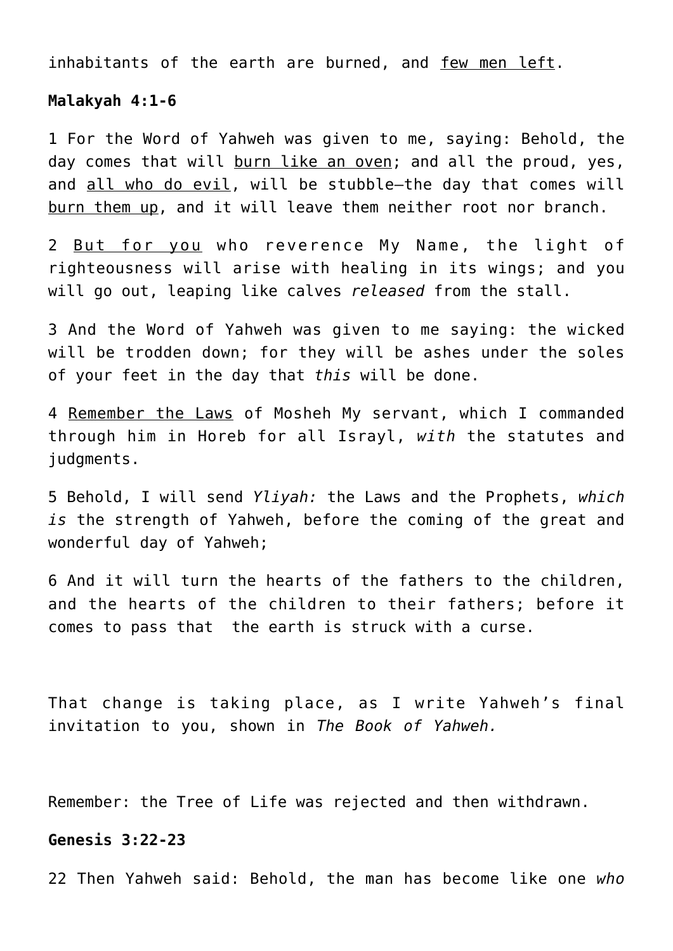inhabitants of the earth are burned, and few men left.

#### **Malakyah 4:1-6**

1 For the Word of Yahweh was given to me, saying: Behold, the dav comes that will burn like an oven; and all the proud, yes, and all who do evil, will be stubble-the day that comes will burn them up, and it will leave them neither root nor branch.

2 But for you who reverence My Name, the light of righteousness will arise with healing in its wings; and you will go out, leaping like calves *released* from the stall.

3 And the Word of Yahweh was given to me saying: the wicked will be trodden down; for they will be ashes under the soles of your feet in the day that *this* will be done.

4 Remember the Laws of Mosheh My servant, which I commanded through him in Horeb for all Israyl, *with* the statutes and judgments.

5 Behold, I will send *Yliyah:* the Laws and the Prophets, *which is* the strength of Yahweh, before the coming of the great and wonderful day of Yahweh;

6 And it will turn the hearts of the fathers to the children, and the hearts of the children to their fathers; before it comes to pass that the earth is struck with a curse.

That change is taking place, as I write Yahweh's final invitation to you, shown in *The Book of Yahweh.*

Remember: the Tree of Life was rejected and then withdrawn.

# **Genesis 3:22-23**

22 Then Yahweh said: Behold, the man has become like one *who*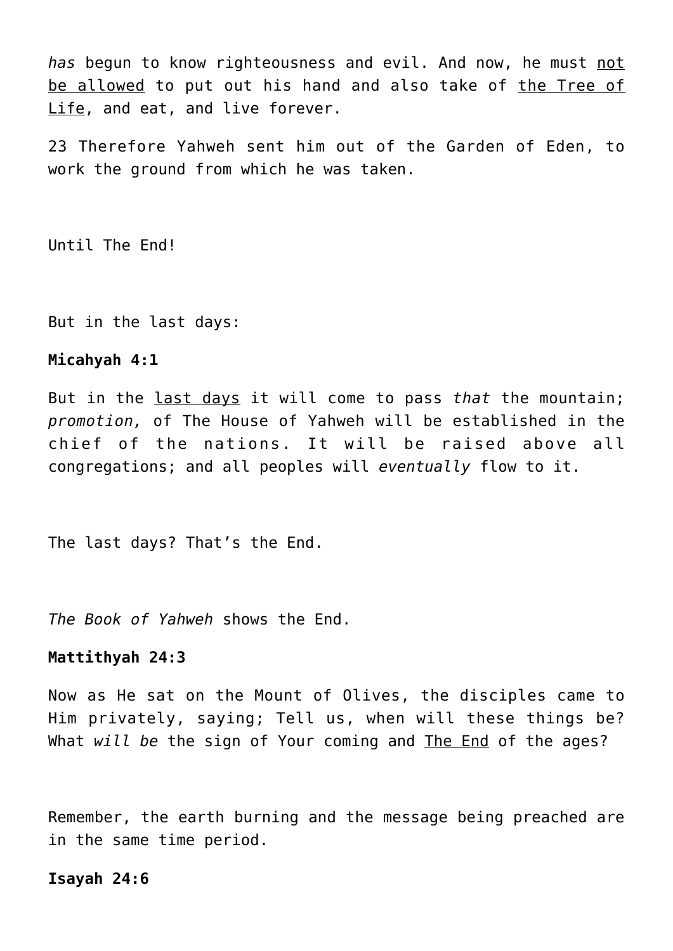*has* begun to know righteousness and evil. And now, he must not be allowed to put out his hand and also take of the Tree of Life, and eat, and live forever.

23 Therefore Yahweh sent him out of the Garden of Eden, to work the ground from which he was taken.

Until The End!

But in the last days:

#### **Micahyah 4:1**

But in the last days it will come to pass *that* the mountain; *promotion,* of The House of Yahweh will be established in the chief of the nations. It will be raised above all congregations; and all peoples will *eventually* flow to it.

The last days? That's the End.

*The Book of Yahweh* shows the End.

#### **Mattithyah 24:3**

Now as He sat on the Mount of Olives, the disciples came to Him privately, saying; Tell us, when will these things be? What *will be* the sign of Your coming and The End of the ages?

Remember, the earth burning and the message being preached are in the same time period.

#### **Isayah 24:6**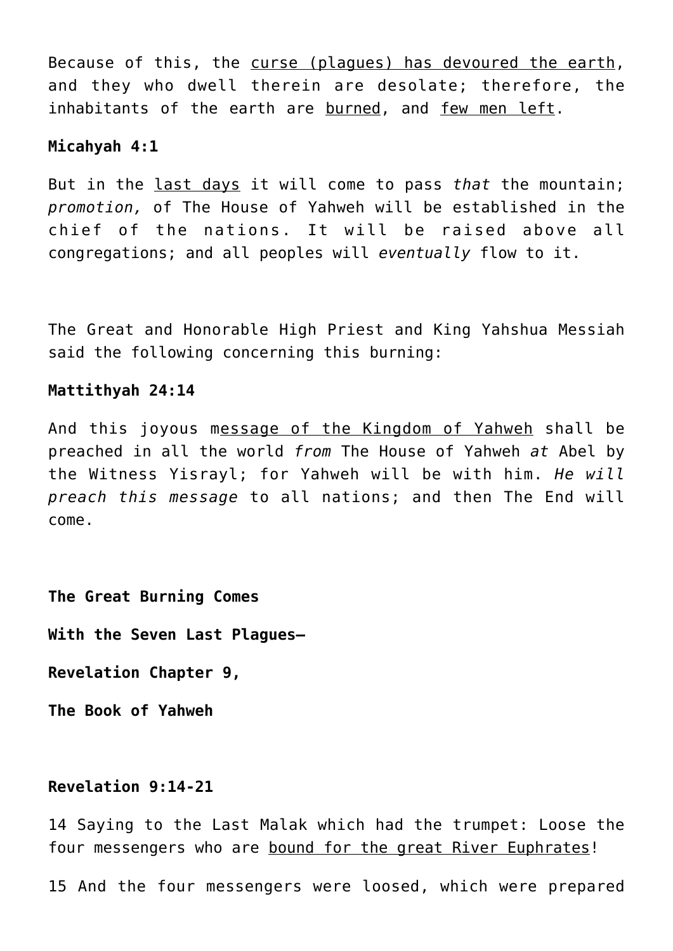Because of this, the curse (plagues) has devoured the earth, and they who dwell therein are desolate; therefore, the inhabitants of the earth are burned, and few men left.

# **Micahyah 4:1**

But in the last days it will come to pass *that* the mountain; *promotion,* of The House of Yahweh will be established in the chief of the nations. It will be raised above all congregations; and all peoples will *eventually* flow to it.

The Great and Honorable High Priest and King Yahshua Messiah said the following concerning this burning:

## **Mattithyah 24:14**

And this joyous message of the Kingdom of Yahweh shall be preached in all the world *from* The House of Yahweh *at* Abel by the Witness Yisrayl; for Yahweh will be with him. *He will preach this message* to all nations; and then The End will come.

**The Great Burning Comes**

**With the Seven Last Plagues—**

**Revelation Chapter 9,**

**The Book of Yahweh**

# **Revelation 9:14-21**

14 Saying to the Last Malak which had the trumpet: Loose the four messengers who are bound for the great River Euphrates!

15 And the four messengers were loosed, which were prepared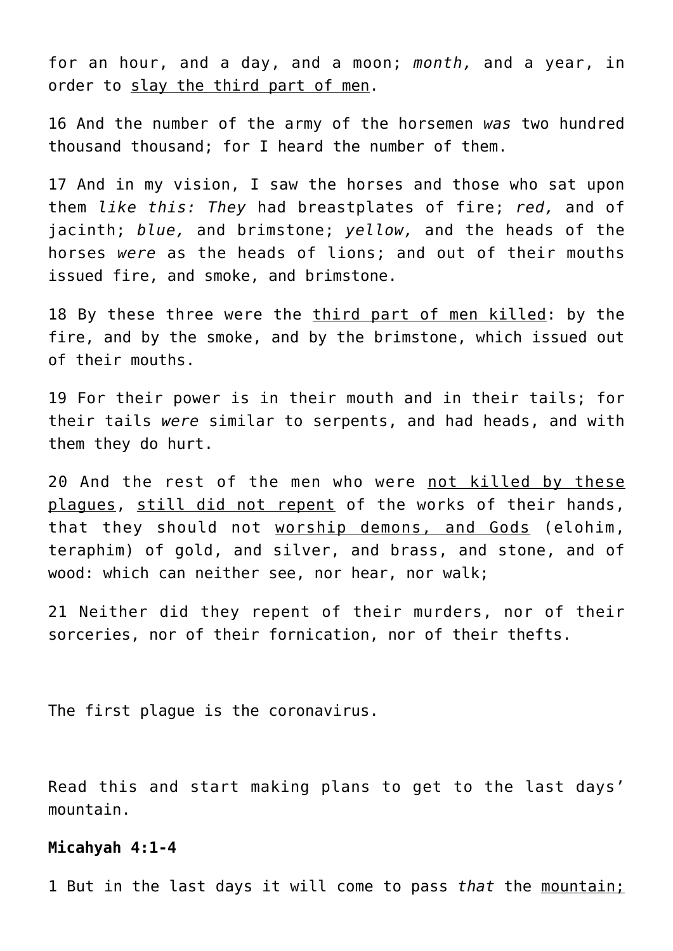for an hour, and a day, and a moon; *month,* and a year, in order to slay the third part of men.

16 And the number of the army of the horsemen *was* two hundred thousand thousand; for I heard the number of them.

17 And in my vision, I saw the horses and those who sat upon them *like this: They* had breastplates of fire; *red,* and of jacinth; *blue,* and brimstone; *yellow,* and the heads of the horses *were* as the heads of lions; and out of their mouths issued fire, and smoke, and brimstone.

18 By these three were the third part of men killed: by the fire, and by the smoke, and by the brimstone, which issued out of their mouths.

19 For their power is in their mouth and in their tails; for their tails *were* similar to serpents, and had heads, and with them they do hurt.

20 And the rest of the men who were not killed by these plagues, still did not repent of the works of their hands, that they should not worship demons, and Gods (elohim, teraphim) of gold, and silver, and brass, and stone, and of wood: which can neither see, nor hear, nor walk;

21 Neither did they repent of their murders, nor of their sorceries, nor of their fornication, nor of their thefts.

The first plague is the coronavirus.

Read this and start making plans to get to the last days' mountain.

#### **Micahyah 4:1-4**

1 But in the last days it will come to pass *that* the mountain;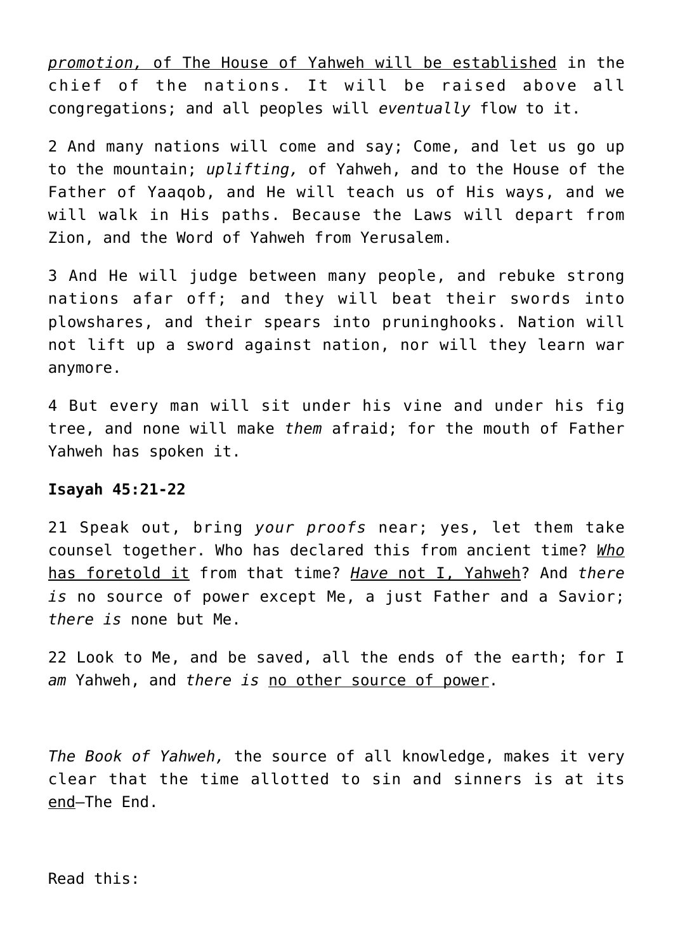*promotion,* of The House of Yahweh will be established in the chief of the nations. It will be raised above all congregations; and all peoples will *eventually* flow to it.

2 And many nations will come and say; Come, and let us go up to the mountain; *uplifting,* of Yahweh, and to the House of the Father of Yaaqob, and He will teach us of His ways, and we will walk in His paths. Because the Laws will depart from Zion, and the Word of Yahweh from Yerusalem.

3 And He will judge between many people, and rebuke strong nations afar off; and they will beat their swords into plowshares, and their spears into pruninghooks. Nation will not lift up a sword against nation, nor will they learn war anymore.

4 But every man will sit under his vine and under his fig tree, and none will make *them* afraid; for the mouth of Father Yahweh has spoken it.

#### **Isayah 45:21-22**

21 Speak out, bring *your proofs* near; yes, let them take counsel together. Who has declared this from ancient time? *Who* has foretold it from that time? *Have* not I, Yahweh? And *there is* no source of power except Me, a just Father and a Savior; *there is* none but Me.

22 Look to Me, and be saved, all the ends of the earth; for I *am* Yahweh, and *there is* no other source of power.

*The Book of Yahweh,* the source of all knowledge, makes it very clear that the time allotted to sin and sinners is at its end—The End.

Read this: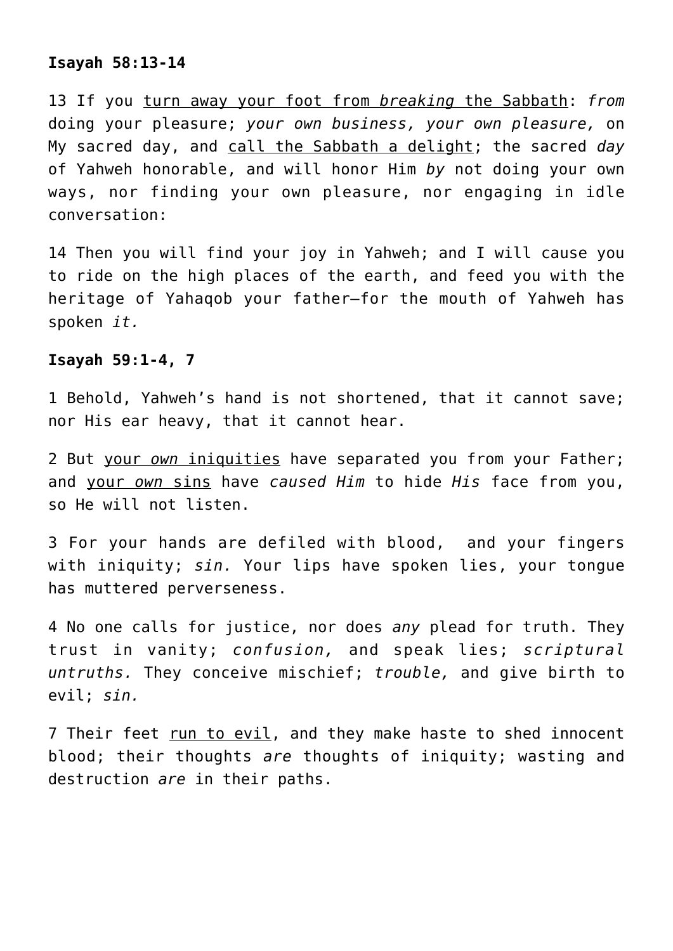# **Isayah 58:13-14**

13 If you turn away your foot from *breaking* the Sabbath: *from* doing your pleasure; *your own business, your own pleasure,* on My sacred day, and call the Sabbath a delight; the sacred *day* of Yahweh honorable, and will honor Him *by* not doing your own ways, nor finding your own pleasure, nor engaging in idle conversation:

14 Then you will find your joy in Yahweh; and I will cause you to ride on the high places of the earth, and feed you with the heritage of Yahaqob your father—for the mouth of Yahweh has spoken *it.*

# **Isayah 59:1-4, 7**

1 Behold, Yahweh's hand is not shortened, that it cannot save; nor His ear heavy, that it cannot hear.

2 But your *own* iniquities have separated you from your Father; and your *own* sins have *caused Him* to hide *His* face from you, so He will not listen.

3 For your hands are defiled with blood, and your fingers with iniquity; *sin.* Your lips have spoken lies, your tongue has muttered perverseness.

4 No one calls for justice, nor does *any* plead for truth. They trust in vanity; *confusion,* and speak lies; *scriptural untruths.* They conceive mischief; *trouble,* and give birth to evil; *sin.*

7 Their feet run to evil, and they make haste to shed innocent blood; their thoughts *are* thoughts of iniquity; wasting and destruction *are* in their paths.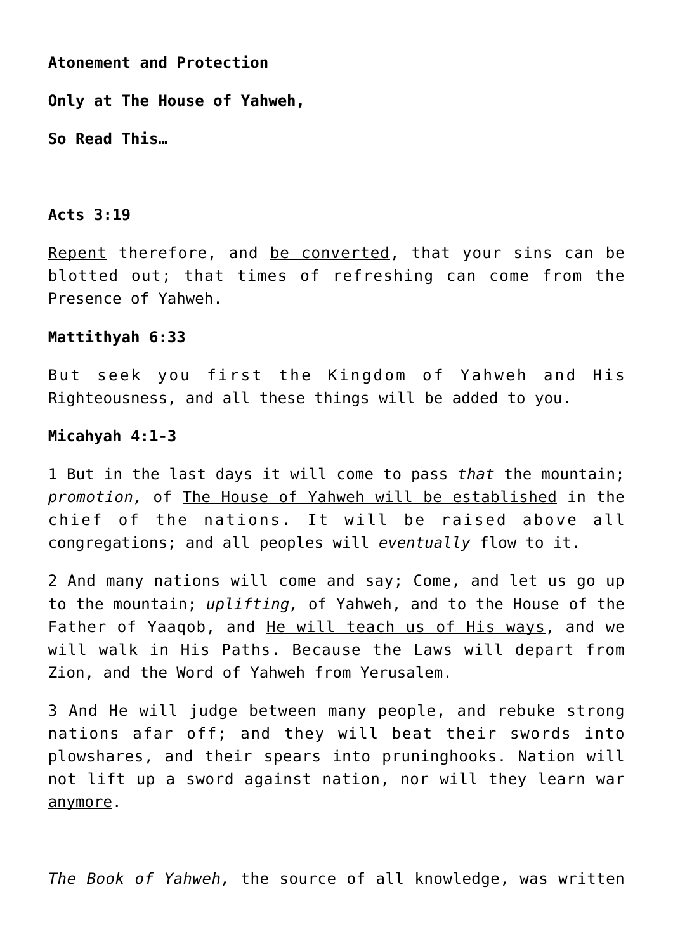**Atonement and Protection**

**Only at The House of Yahweh,**

**So Read This…**

## **Acts 3:19**

Repent therefore, and be converted, that your sins can be blotted out; that times of refreshing can come from the Presence of Yahweh.

#### **Mattithyah 6:33**

But seek you first the Kingdom of Yahweh and His Righteousness, and all these things will be added to you.

#### **Micahyah 4:1-3**

1 But in the last days it will come to pass *that* the mountain; *promotion,* of The House of Yahweh will be established in the chief of the nations. It will be raised above all congregations; and all peoples will *eventually* flow to it.

2 And many nations will come and say; Come, and let us go up to the mountain; *uplifting,* of Yahweh, and to the House of the Father of Yaaqob, and He will teach us of His ways, and we will walk in His Paths. Because the Laws will depart from Zion, and the Word of Yahweh from Yerusalem.

3 And He will judge between many people, and rebuke strong nations afar off; and they will beat their swords into plowshares, and their spears into pruninghooks. Nation will not lift up a sword against nation, nor will they learn war anymore.

*The Book of Yahweh,* the source of all knowledge, was written